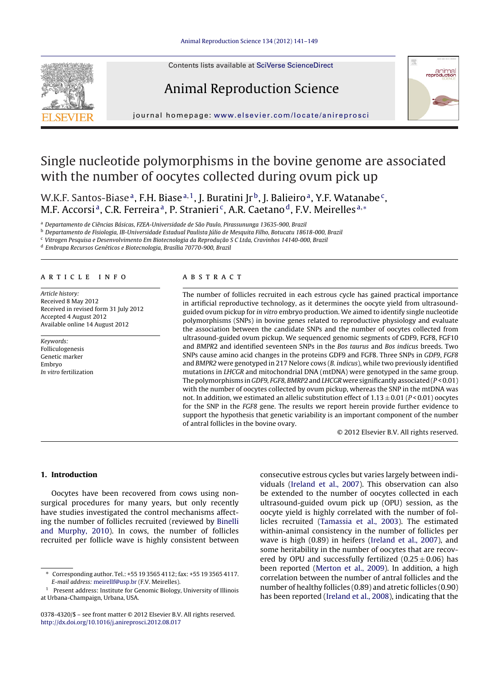

Contents lists available at SciVerse [ScienceDirect](http://www.sciencedirect.com/science/journal/03784320)

# Animal Reproduction Science



jour nal homepage: [www.elsevier.com/locate/anireprosci](http://www.elsevier.com/locate/anireprosci)

# Single nucleotide polymorphisms in the bovine genome are associated with the number of oocytes collected during ovum pick up

W.K.F. Santos-Biase<sup>a</sup>, F.H. Biase<sup>a, 1</sup>, J. Buratini Jr<sup>b</sup>, J. Balieiro<sup>a</sup>, Y.F. Watanabe<sup>c</sup>, M.F. Accorsi<sup>a</sup>, C.R. Ferreira<sup>a</sup>, P. Stranieri<sup>c</sup>, A.R. Caetano<sup>d</sup>, F.V. Meirelles<sup>a,∗</sup>

<sup>a</sup> Departamento de Ciências Básicas, FZEA-Universidade de São Paulo, Pirassununga 13635-900, Brazil

<sup>b</sup> Departamento de Fisiologia, IB-Universidade Estadual Paulista Júlio de Mesquita Filho, Botucatu 18618-000, Brazil

<sup>c</sup> Vitrogen Pesquisa e Desenvolvimento Em Biotecnologia da Reprodução S C Ltda, Cravinhos 14140-000, Brazil

<sup>d</sup> Embrapa Recursos Genéticos e Biotecnologia, Brasília 70770-900, Brazil

### a r t i c l e i n f o

Article history: Received 8 May 2012 Received in revised form 31 July 2012 Accepted 4 August 2012 Available online 14 August 2012

Keywords: Folliculogenesis Genetic marker Embryo In vitro fertilization

## a b s t r a c t

The number of follicles recruited in each estrous cycle has gained practical importance in artificial reproductive technology, as it determines the oocyte yield from ultrasoundguided ovum pickup for in vitro embryo production. We aimed to identify single nucleotide polymorphisms (SNPs) in bovine genes related to reproductive physiology and evaluate the association between the candidate SNPs and the number of oocytes collected from ultrasound-guided ovum pickup. We sequenced genomic segments of GDF9, FGF8, FGF10 and BMPR2 and identified seventeen SNPs in the Bos taurus and Bos indicus breeds. Two SNPs cause amino acid changes in the proteins GDF9 and FGF8. Three SNPs in GDF9, FGF8 and BMPR2 were genotyped in 217 Nelore cows (B. indicus), while two previously identified mutations in LHCGR and mitochondrial DNA (mtDNA) were genotyped in the same group. The polymorphisms in GDF9, FGF8, BMRP2 and LHCGR were significantly associated ( $P < 0.01$ ) with the number of oocytes collected by ovum pickup, whereas the SNP in the mtDNA was not. In addition, we estimated an allelic substitution effect of  $1.13 \pm 0.01$  (P < 0.01) oocytes for the SNP in the FGF8 gene. The results we report herein provide further evidence to support the hypothesis that genetic variability is an important component of the number of antral follicles in the bovine ovary.

© 2012 Elsevier B.V. All rights reserved.

# **1. Introduction**

Oocytes have been recovered from cows using nonsurgical procedures for many years, but only recently have studies investigated the control mechanisms affecting the number of follicles recruited (reviewed by [Binelli](#page-7-0) [and](#page-7-0) [Murphy,](#page-7-0) [2010\).](#page-7-0) In cows, the number of follicles recruited per follicle wave is highly consistent between consecutive estrous cycles but varies largely between individuals [\(Ireland](#page-7-0) et [al.,](#page-7-0) [2007\).](#page-7-0) This observation can also be extended to the number of oocytes collected in each ultrasound-guided ovum pick up (OPU) session, as the oocyte yield is highly correlated with the number of follicles recruited [\(Tamassia](#page-8-0) et [al.,](#page-8-0) [2003\).](#page-8-0) The estimated within-animal consistency in the number of follicles per wave is high (0.89) in heifers ([Ireland](#page-7-0) et [al.,](#page-7-0) [2007\),](#page-7-0) and some heritability in the number of oocytes that are recovered by OPU and successfully fertilized  $(0.25 \pm 0.06)$  has been reported [\(Merton](#page-7-0) et [al.,](#page-7-0) [2009\).](#page-7-0) In addition, a high correlation between the number of antral follicles and the number of healthy follicles (0.89) and atretic follicles (0.90) has been reported ([Ireland](#page-7-0) et [al.,](#page-7-0) [2008\),](#page-7-0) indicating that the

<sup>∗</sup> Corresponding author. Tel.: +55 19 3565 4112; fax: +55 19 3565 4117. E-mail address: [meirellf@usp.br](mailto:meirellf@usp.br) (F.V. Meirelles).

<sup>&</sup>lt;sup>1</sup> Present address: Institute for Genomic Biology, University of Illinois at Urbana-Champaign, Urbana, USA.

<sup>0378-4320/\$</sup> – see front matter © 2012 Elsevier B.V. All rights reserved. [http://dx.doi.org/10.1016/j.anireprosci.2012.08.017](dx.doi.org/10.1016/j.anireprosci.2012.08.017)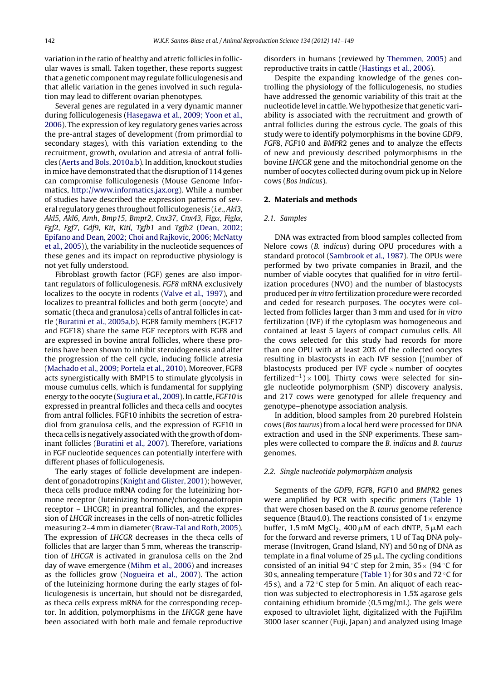variation in the ratio of healthy and atretic follicles in follicular waves is small. Taken together, these reports suggest that a genetic componentmay regulate folliculogenesis and that allelic variation in the genes involved in such regulation may lead to different ovarian phenotypes.

Several genes are regulated in a very dynamic manner during folliculogenesis [\(Hasegawa](#page-7-0) et [al.,](#page-7-0) [2009;](#page-7-0) [Yoon](#page-7-0) et [al.,](#page-7-0) [2006\).](#page-7-0) The expression of key regulatory genes varies across the pre-antral stages of development (from primordial to secondary stages), with this variation extending to the recruitment, growth, ovulation and atresia of antral follicles [\(Aerts](#page-7-0) [and](#page-7-0) [Bols,](#page-7-0) [2010a,b\).](#page-7-0) In addition, knockout studies in mice have demonstrated that the disruption of 114 genes can compromise folliculogenesis (Mouse Genome Informatics, [http://www.informatics.jax.org](http://www.informatics.jax.org/)). While a number of studies have described the expression patterns of several regulatory genes throughout folliculogenesis (*i.e.*, Akl3, Akl5, Akl6, Amh, Bmp15, Bmpr2, Cnx37, Cnx43, Fig $\alpha$ , Figl $\alpha$ , Fgf2, Fgf7, Gdf9, Kit, Kitl, Tgfb1 and Tgfb2 [\(Dean,](#page-7-0) [2002;](#page-7-0) [Epifano](#page-7-0) [and](#page-7-0) [Dean,](#page-7-0) [2002;](#page-7-0) [Choi](#page-7-0) [and](#page-7-0) [Rajkovic,](#page-7-0) [2006;](#page-7-0) [McNatty](#page-7-0) et [al.,](#page-7-0) [2005\)\)](#page-7-0), the variability in the nucleotide sequences of these genes and its impact on reproductive physiology is not yet fully understood.

Fibroblast growth factor (FGF) genes are also important regulators of folliculogenesis. FGF8 mRNA exclusively localizes to the oocyte in rodents ([Valve](#page-8-0) et [al.,](#page-8-0) [1997\),](#page-8-0) and localizes to preantral follicles and both germ (oocyte) and somatic (theca and granulosa) cells of antral follicles in cattle [\(Buratini](#page-7-0) et [al.,](#page-7-0) [2005a,b\).](#page-7-0) FGF8 family members (FGF17 and FGF18) share the same FGF receptors with FGF8 and are expressed in bovine antral follicles, where these proteins have been shown to inhibit steroidogenesis and alter the progression of the cell cycle, inducing follicle atresia [\(Machado](#page-7-0) et [al.,](#page-7-0) [2009;](#page-7-0) [Portela](#page-7-0) et [al.,](#page-7-0) [2010\).](#page-7-0) Moreover, FGF8 acts synergistically with BMP15 to stimulate glycolysis in mouse cumulus cells, which is fundamental for supplying energy to the oocyte ([Sugiura](#page-8-0) et [al.,](#page-8-0) [2009\).](#page-8-0) In cattle, FGF10 is expressed in preantral follicles and theca cells and oocytes from antral follicles. FGF10 inhibits the secretion of estradiol from granulosa cells, and the expression of FGF10 in theca cells is negatively associated with the growth of dominant follicles [\(Buratini](#page-7-0) et [al.,](#page-7-0) [2007\).](#page-7-0) Therefore, variations in FGF nucleotide sequences can potentially interfere with different phases of folliculogenesis.

The early stages of follicle development are independent of gonadotropins [\(Knight](#page-7-0) [and](#page-7-0) [Glister,](#page-7-0) [2001\);](#page-7-0) however, theca cells produce mRNA coding for the luteinizing hormone receptor (luteinizing hormone/choriogonadotropin receptor – LHCGR) in preantral follicles, and the expression of LHCGR increases in the cells of non-atretic follicles measuring 2–4 mm in diameter ([Braw-Tal](#page-7-0) [and](#page-7-0) [Roth,](#page-7-0) [2005\).](#page-7-0) The expression of LHCGR decreases in the theca cells of follicles that are larger than 5 mm, whereas the transcription of LHCGR is activated in granulosa cells on the 2nd day of wave emergence ([Mihm](#page-7-0) et [al.,](#page-7-0) [2006\)](#page-7-0) and increases as the follicles grow ([Nogueira](#page-7-0) et [al.,](#page-7-0) [2007\).](#page-7-0) The action of the luteinizing hormone during the early stages of folliculogenesis is uncertain, but should not be disregarded, as theca cells express mRNA for the corresponding receptor. In addition, polymorphisms in the LHCGR gene have been associated with both male and female reproductive

disorders in humans (reviewed by [Themmen,](#page-8-0) [2005\)](#page-8-0) and reproductive traits in cattle ([Hastings](#page-7-0) et [al.,](#page-7-0) [2006\).](#page-7-0)

Despite the expanding knowledge of the genes controlling the physiology of the folliculogenesis, no studies have addressed the genomic variability of this trait at the nucleotide level in cattle.We hypothesize that genetic variability is associated with the recruitment and growth of antral follicles during the estrous cycle. The goals of this study were to identify polymorphisms in the bovine GDF9, FGF8, FGF10 and BMPR2 genes and to analyze the effects of new and previously described polymorphisms in the bovine LHCGR gene and the mitochondrial genome on the number of oocytes collected during ovum pick up in Nelore cows (Bos indicus).

#### **2. Materials and methods**

#### 2.1. Samples

DNA was extracted from blood samples collected from Nelore cows (B. indicus) during OPU procedures with a standard protocol ([Sambrook](#page-8-0) et [al.,](#page-8-0) [1987\).](#page-8-0) The OPUs were performed by two private companies in Brazil, and the number of viable oocytes that qualified for in vitro fertilization procedures (NVO) and the number of blastocysts produced per in vitro fertilization procedure were recorded and ceded for research purposes. The oocytes were collected from follicles larger than 3 mm and used for in vitro fertilization (IVF) if the cytoplasm was homogeneous and contained at least 5 layers of compact cumulus cells. All the cows selected for this study had records for more than one OPU with at least 20% of the collected oocytes resulting in blastocysts in each IVF session [(number of blastocysts produced per IVF cycle  $\times$  number of oocytes fertilized<sup>-1</sup>) × 100]. Thirty cows were selected for single nucleotide polymorphism (SNP) discovery analysis, and 217 cows were genotyped for allele frequency and genotype–phenotype association analysis.

In addition, blood samples from 20 purebred Holstein cows (Bos taurus) from a local herd were processed for DNA extraction and used in the SNP experiments. These samples were collected to compare the B. indicus and B. taurus genomes.

### 2.2. Single nucleotide polymorphism analysis

Segments of the GDF9, FGF8, FGF10 and BMPR2 genes were amplified by PCR with specific primers ([Table](#page-2-0) 1) that were chosen based on the B. taurus genome reference sequence (Btau4.0). The reactions consisted of  $1\times$  enzyme buffer, 1.5 mM  $MgCl<sub>2</sub>$ , 400  $\mu$ M of each dNTP, 5  $\mu$ M each for the forward and reverse primers, 1 U of Taq DNA polymerase (Invitrogen, Grand Island, NY) and 50 ng of DNA as template in a final volume of  $25 \mu L$ . The cycling conditions consisted of an initial 94 °C step for 2 min,  $35 \times$  (94 °C for 30 s, annealing temperature [\(Table](#page-2-0) 1) for 30 s and 72  $\circ$ C for 45 s), and a 72 $\degree$ C step for 5 min. An aliquot of each reaction was subjected to electrophoresis in 1.5% agarose gels containing ethidium bromide (0.5 mg/mL). The gels were exposed to ultraviolet light, digitalized with the FujiFilm 3000 laser scanner (Fuji, Japan) and analyzed using Image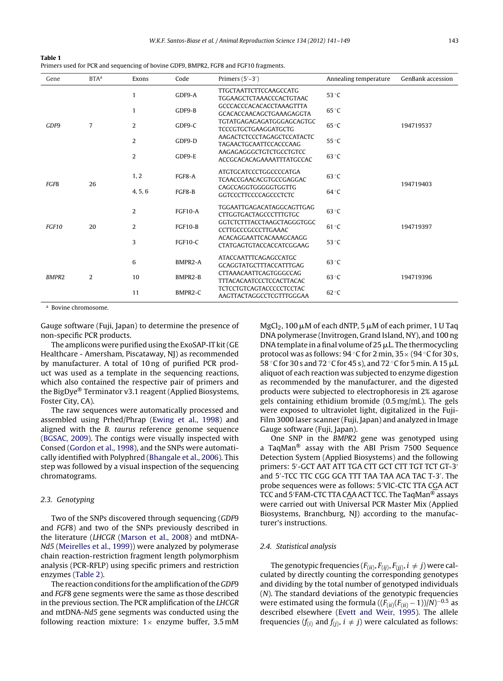<span id="page-2-0"></span>

| <b>Table 1</b>                                                                       |  |
|--------------------------------------------------------------------------------------|--|
| Primers used for PCR and sequencing of bovine GDF9, BMPR2, FGF8 and FGF10 fragments. |  |

| Gene                   | $BTA^a$ | Exons          | Code                                                     | Primers $(5'-3')$                                                | Annealing temperature | GenBank accession |
|------------------------|---------|----------------|----------------------------------------------------------|------------------------------------------------------------------|-----------------------|-------------------|
|                        |         | $\mathbf{1}$   | GDF9-A                                                   | <b>TTGCTAATTCTTCCAAGCCATG</b><br><b>TGGAAGCTCTAAACCCACTGTAAC</b> | 53 °C                 |                   |
| 7<br>GDF9              |         | $\mathbf{1}$   | GDF9-B                                                   | GCCCACCCACACACCTAAAGTTTA<br>GCACACCAACAGCTGAAAGAGGTA             | 65 °C                 |                   |
|                        | 2       | GDF9-C         | TGTATGAGAGAGATGGGAGCAGTGC<br><b>TCCCGTGCTGAAGGATGCTG</b> | $65^{\circ}$ C                                                   | 194719537             |                   |
|                        |         | $\overline{2}$ | GDF9-D                                                   | AAGACTCTCCCTAGAGCTCCATACTC<br>TAGAACTGCAATTCCACCCAAG             | 55 °C                 |                   |
|                        |         | $\overline{2}$ | GDF9-E                                                   | AAGAGAGGGCTGTCTGCCTGTCC<br>ACCGCACACAGAAAATTTATGCCAC             | $63^{\circ}$ C        |                   |
|                        |         | 1, 2           | FGF8-A                                                   | <b>ATGTGCATCCCTGGCCCCATGA</b><br><b>TCAACCGAACACGTGCCGAGGAC</b>  | $63^{\circ}$ C        |                   |
| 26<br>FGF <sub>8</sub> |         | 4, 5, 6        | FGF8-B                                                   | CAGCCAGGTGGGGGTGGTTG<br><b>GGTCCCTTCCCCAGCCCTCTC</b>             | $64^{\circ}$ C        | 194719403         |
|                        |         | $\overline{2}$ | <b>FGF10-A</b>                                           | TGGAATTGAGACATAGGCAGTTGAG<br><b>CTTGGTGACTAGCCCTTTGTGC</b>       | 63 °C                 |                   |
| FGF10                  | 20      | $\overline{2}$ | <b>FGF10-B</b>                                           | GGTCTCTTTACCTAAGCTAGGGTGGC<br>CCTTGCCCGCCCTTGAAAC                | $61^{\circ}$ C        | 194719397         |
|                        |         | 3              | <b>FGF10-C</b>                                           | ACACAGGAATTCACAAAGCAAGG<br><b>CTATGAGTGTACCACCATCGGAAG</b>       | 53 °C                 |                   |
|                        |         | 6              | BMPR2-A                                                  | ATACCAATTTCAGAGCCATGC<br><b>GCAGGTATGCTTTACCATTTGAG</b>          | $63^{\circ}$ C        |                   |
| <b>BMPR2</b><br>2      |         | 10             | BMPR2-B                                                  | CTTAAACAATTCAGTGGGCCAG<br><b>TTTACACAATCCCTCCACTTACAC</b>        | $63^{\circ}$ C        | 194719396         |
|                        |         | 11             | BMPR2-C                                                  | <b>TCTCCTGTCAGTACCCCCTCCTAC</b><br>AAGTTACTAGGCCTCGTTTGGGAA      | 62 °C                 |                   |

<sup>a</sup> Bovine chromosome.

Gauge software (Fuji, Japan) to determine the presence of non-specific PCR products.

The amplicons were purified using the ExoSAP-IT kit(GE Healthcare - Amersham, Piscataway, NJ) as recommended by manufacturer. A total of 10 ng of purified PCR product was used as a template in the sequencing reactions, which also contained the respective pair of primers and the BigDye® Terminator v3.1 reagent (Applied Biosystems, Foster City, CA).

The raw sequences were automatically processed and assembled using Prhed/Phrap ([Ewing](#page-7-0) et [al.,](#page-7-0) [1998\)](#page-7-0) and aligned with the B. taurus reference genome sequence [\(BGSAC,](#page-7-0) [2009\).](#page-7-0) The contigs were visually inspected with Consed ([Gordon](#page-7-0) et [al.,](#page-7-0) [1998\),](#page-7-0) and the SNPs were automatically identified with Polyphred [\(Bhangale](#page-7-0) et [al.,](#page-7-0) [2006\).](#page-7-0) This step was followed by a visual inspection of the sequencing chromatograms.

#### 2.3. Genotyping

Two of the SNPs discovered through sequencing (GDF9 and FGF8) and two of the SNPs previously described in the literature (LHCGR [\(Marson](#page-7-0) et [al.,](#page-7-0) [2008\)](#page-7-0) and mtDNA-Nd5 [\(Meirelles](#page-7-0) et [al.,](#page-7-0) [1999\)\)](#page-7-0) were analyzed by polymerase chain reaction-restriction fragment length polymorphism analysis (PCR-RFLP) using specific primers and restriction enzymes ([Table](#page-3-0) 2).

The reaction conditions for the amplification of the GDF9 and FGF8 gene segments were the same as those described in the previous section. The PCR amplification of the LHCGR and mtDNA-Nd5 gene segments was conducted using the following reaction mixture:  $1 \times$  enzyme buffer, 3.5 mM

 $\rm MgCl_2$ , 100  $\rm \mu M$  of each dNTP, 5  $\rm \mu M$  of each primer, 1 U Taq DNA polymerase (Invitrogen, Grand Island, NY), and 100 ng DNA template in a final volume of 25  $\mu$ L. The thermocycling protocol was as follows:  $94^{\circ}$ C for 2 min,  $35 \times (94^{\circ}$ C for 30 s, 58 °C for 30 s and 72 °C for 45 s), and 72 °C for 5 min. A 15  $\mu$ I aliquot of each reaction was subjected to enzyme digestion as recommended by the manufacturer, and the digested products were subjected to electrophoresis in 2% agarose gels containing ethidium bromide (0.5 mg/mL). The gels were exposed to ultraviolet light, digitalized in the Fuji-Film 3000 laser scanner (Fuji, Japan) and analyzed in Image Gauge software (Fuji, Japan).

One SNP in the BMPR2 gene was genotyped using a TaqMan® assay with the ABI Prism 7500 Sequence Detection System (Applied Biosystems) and the following primers: 5 -GCT AAT ATT TGA CTT GCT CTT TGT TCT GT-3 and 5 -TCC TTC CGG GCA TTT TAA TAA ACA TAC T-3 . The probe sequences were as follows: 5 VIC-CTC TTA CGA ACT TCC and 5 FAM-CTC TTA CAA ACT TCC. The TaqMan® assays were carried out with Universal PCR Master Mix (Applied Biosystems, Branchburg, NJ) according to the manufacturer's instructions.

# 2.4. Statistical analysis

The genotypic frequencies  $(F(ii), F(ij), F(ji), i \neq j)$  were calculated by directly counting the corresponding genotypes and dividing by the total number of genotyped individuals (N). The standard deviations of the genotypic frequencies were estimated using the formula  $((F_{(ii)}(F_{(ii)}-1))/N)^{-0.5}$  as described elsewhere [\(Evett](#page-7-0) [and](#page-7-0) [Weir,](#page-7-0) [1995\).](#page-7-0) The allele frequencies ( $f(i)$  and  $f(j)$ ,  $i \neq j$ ) were calculated as follows: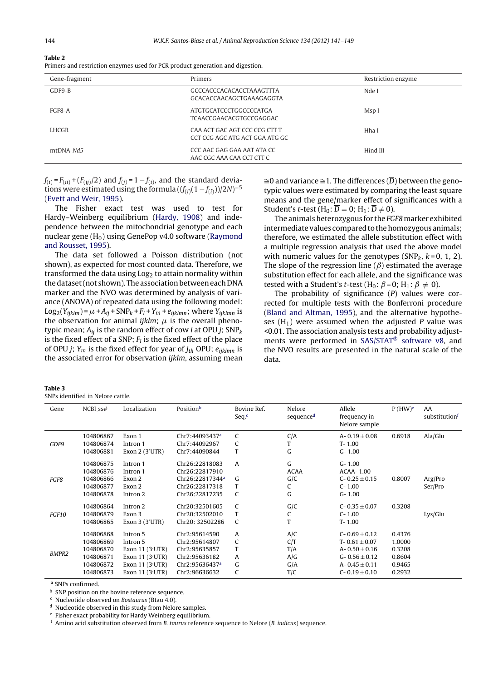<span id="page-3-0"></span>

| . . | H |  |  |  |
|-----|---|--|--|--|
|-----|---|--|--|--|

| Gene-fragment | Primers                                                         | Restriction enzyme |
|---------------|-----------------------------------------------------------------|--------------------|
| GDF9-B        | GCCCACCCACACACCTAAAGTTTA<br>GCACACCAACAGCTGAAAGAGGTA            | Nde I              |
| FGF8-A        | <b>ATGTGCATCCCTGGCCCCATGA</b><br><b>TCAACCGAACACGTGCCGAGGAC</b> | Msp I              |
| LHCGR         | CAA ACT GAC AGT CCC CCG CTT T<br>CCT CCG AGC ATG ACT GGA ATG GC | Hha I              |
| mtDNA-Nd5     | CCC AAC GAG GAA AAT ATA CC<br>AAC CGC AAA CAA CCT CTT C         | Hind III           |

 $f_{(i)} = F_{(ii)} + (F_{(ii)}/2)$  and  $f_{(j)} = 1 - f_{(i)}$ , and the standard deviations were estimated using the formula  $((f_{(i)}(1 - f_{(i)}))/2N)^{-5}$ [\(Evett](#page-7-0) [and](#page-7-0) [Weir,](#page-7-0) [1995\).](#page-7-0)

The Fisher exact test was used to test for Hardy–Weinberg equilibrium [\(Hardy,](#page-7-0) [1908\)](#page-7-0) and independence between the mitochondrial genotype and each nuclear gene  $(H_0)$  using GenePop v4.0 software [\(Raymond](#page-8-0) [and](#page-8-0) [Rousset,](#page-8-0) [1995\).](#page-8-0)

The data set followed a Poisson distribution (not shown), as expected for most counted data. Therefore, we transformed the data using  $Log<sub>2</sub>$  to attain normality within the dataset (not shown). The association between each DNA marker and the NVO was determined by analysis of variance (ANOVA) of repeated data using the following model:  $Log_2(Y_{ijklm}) = \mu + A_{ij} + SNP_k + F_l + Y_m + e_{ijklmn}$ ; where  $Y_{ijklmn}$  is the observation for animal *ijklm*;  $\mu$  is the overall phenotypic mean;  $A_{ii}$  is the random effect of cow *i* at OPU *j*; SNP<sub>k</sub> is the fixed effect of a SNP;  $F_l$  is the fixed effect of the place of OPU j;  $Y_m$  is the fixed effect for year of  $j_{th}$  OPU;  $e_{iiklmn}$  is the associated error for observation *ijklm*, assuming mean

| $\sim$<br>$\sim$<br>. . |
|-------------------------|
|-------------------------|

SNPs identified in Nelore cattle.

≅0 and variance ≅1. The differences ( $\overline{D}$ ) between the genotypic values were estimated by comparing the least square means and the gene/marker effect of significances with a Student's *t*-test (H<sub>0</sub>:  $\overline{D} = 0$ ; H<sub>1</sub>:  $\overline{D} \neq 0$ ).

The animals heterozygous for the FGF8 marker exhibited intermediate values compared to the homozygous animals; therefore, we estimated the allele substitution effect with a multiple regression analysis that used the above model with numeric values for the genotypes (SNP<sub>k</sub>,  $k = 0, 1, 2$ ). The slope of the regression line  $(\beta)$  estimated the average substitution effect for each allele, and the significance was tested with a Student's *t*-test (H<sub>0</sub>:  $\beta$  = 0; H<sub>1</sub>:  $\beta \neq 0$ ).

The probability of significance  $(P)$  values were corrected for multiple tests with the Bonferroni procedure [\(Bland](#page-7-0) [and](#page-7-0) [Altman,](#page-7-0) [1995\),](#page-7-0) and the alternative hypotheses  $(H_1)$  were assumed when the adjusted P value was <0.01. The association analysis tests and probability adjust-ments were performed in [SAS/STAT](#page-8-0)® software v8, and the NVO results are presented in the natural scale of the data.

| Gene         | NCBL <sub>ss</sub> # | Localization    | Position <sup>b</sup>       | Bovine Ref.<br>Seq. <sup>c</sup> | Nelore<br>sequence <sup>d</sup> | Allele<br>frequency in<br>Nelore sample | P(HW) <sup>e</sup> | AA<br>substitution |
|--------------|----------------------|-----------------|-----------------------------|----------------------------------|---------------------------------|-----------------------------------------|--------------------|--------------------|
|              | 104806867            | Exon 1          | Chr7:44093437 <sup>a</sup>  | $\mathsf{C}$                     | C/A                             | A- $0.19 \pm 0.08$                      | 0.6918             | Ala/Glu            |
| GDF9         | 104806874            | Intron 1        | Chr7:44092967               | C                                | T                               | $T - 1.00$                              |                    |                    |
|              | 104806881            | Exon $2(3'UTR)$ | Chr7:44090844               | T                                | G                               | $G - 1.00$                              |                    |                    |
|              | 104806875            | Intron 1        | Chr26:22818083              | A                                | G                               | $G - 1.00$                              |                    |                    |
|              | 104806876            | Intron 1        | Chr26:22817910              |                                  | <b>ACAA</b>                     | <b>ACAA-1.00</b>                        |                    |                    |
| FGF8         | 104806866            | Exon 2          | Chr26:22817344 <sup>a</sup> | G                                | G/C                             | $C - 0.25 \pm 0.15$                     | 0.8007             | Arg/Pro            |
|              | 104806877            | Exon 2          | Chr26:22817318              | T                                | C                               | $C - 1.00$                              |                    | Ser/Pro            |
|              | 104806878            | Intron 2        | Chr26:22817235              | C                                | G                               | $G - 1.00$                              |                    |                    |
|              | 104806864            | Intron 2        | Chr20:32501605              | C                                | G/C                             | $C - 0.35 \pm 0.07$                     | 0.3208             |                    |
| FGF10        | 104806879            | Exon 3          | Chr20:32502010              | T                                | C                               | $C - 1.00$                              |                    | Lys/Glu            |
|              | 104806865            | Exon $3(3'UTR)$ | Chr20: 32502286             | C                                | T                               | $T - 1.00$                              |                    |                    |
|              | 104806868            | Intron 5        | Chr2:95614590               | $\mathsf{A}$                     | A/C                             | $C - 0.69 \pm 0.12$                     | 0.4376             |                    |
|              | 104806869            | Intron 5        | Chr2:95614807               | C                                | C/T                             | T- $0.61 \pm 0.07$                      | 1.0000             |                    |
|              | 104806870            | Exon 11 (3'UTR) | Chr2:95635857               | T                                | T/A                             | A- $0.50 \pm 0.16$                      | 0.3208             |                    |
| <b>BMPR2</b> | 104806871            | Exon 11 (3'UTR) | Chr2:95636182               | A                                | A/G                             | $G - 0.56 \pm 0.12$                     | 0.8604             |                    |
|              | 104806872            | Exon 11 (3'UTR) | Chr2:95636437ª              | G                                | G/A                             | A- $0.45 \pm 0.11$                      | 0.9465             |                    |
|              | 104806873            | Exon 11 (3'UTR) | Chr2:96636632               | C                                | T/C                             | $C - 0.19 \pm 0.10$                     | 0.2932             |                    |

<sup>a</sup> SNPs confirmed.

 $^{\rm b}\,$  SNP position on the bovine reference sequence.

<sup>c</sup> Nucleotide observed on Bostaurus (Btau 4.0).

Nucleotide observed in this study from Nelore samples.

<sup>e</sup> Fisher exact probability for Hardy Weinberg equilibrium.

 $f$  Amino acid substitution observed from B. taurus reference sequence to Nelore (B. indicus) sequence.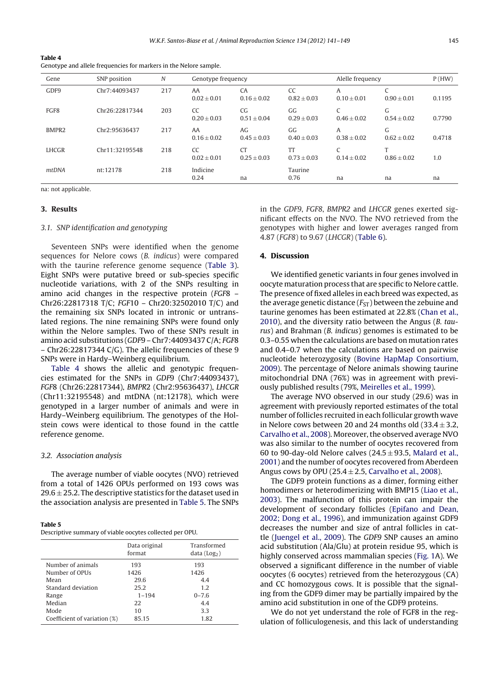<span id="page-4-0"></span>**Table 4** Genotype and allele frequencies for markers in the Nelore sample.

| Gene              | SNP position   | N   | Genotype frequency    |                                    |                       | Alelle frequency            |                      | P(HW)  |
|-------------------|----------------|-----|-----------------------|------------------------------------|-----------------------|-----------------------------|----------------------|--------|
| GDF9              | Chr7:44093437  | 217 | AA<br>$0.02 \pm 0.01$ | CA<br>$0.16 \pm 0.02$              | CC<br>$0.82 + 0.03$   | A<br>$0.10 \pm 0.01$        | $0.90 \pm 0.01$      | 0.1195 |
| FGF8              | Chr26:22817344 | 203 | CC<br>$0.20 \pm 0.03$ | CG <sub>1</sub><br>$0.51 \pm 0.04$ | GG<br>$0.29 + 0.03$   | $\sqrt{ }$<br>$0.46 + 0.02$ | G<br>$0.54 \pm 0.02$ | 0.7790 |
| BMPR <sub>2</sub> | Chr2:95636437  | 217 | AA<br>$0.16 + 0.02$   | AGr<br>$0.45 \pm 0.03$             | GG<br>$0.40 + 0.03$   | A<br>$0.38 \pm 0.02$        | G<br>$0.62 + 0.02$   | 0.4718 |
| <b>LHCGR</b>      | Chr11:32195548 | 218 | CC<br>$0.02 \pm 0.01$ | <b>CT</b><br>$0.25 \pm 0.03$       | TT<br>$0.73 \pm 0.03$ | C<br>$0.14 + 0.02$          | T<br>$0.86 \pm 0.02$ | 1.0    |
| mtDNA             | nt:12178       | 218 | Indicine<br>0.24      | na                                 | Taurine<br>0.76       | na                          | na                   | na     |

na: not applicable.

# **3. Results**

# 3.1. SNP identification and genotyping

Seventeen SNPs were identified when the genome sequences for Nelore cows (B. indicus) were compared with the taurine reference genome sequence ([Table](#page-3-0) 3). Eight SNPs were putative breed or sub-species specific nucleotide variations, with 2 of the SNPs resulting in amino acid changes in the respective protein (FGF8 – Chr26:22817318 T/C; FGF10 – Chr20:32502010 T/C) and the remaining six SNPs located in intronic or untranslated regions. The nine remaining SNPs were found only within the Nelore samples. Two of these SNPs result in amino acid substitutions (GDF9 – Chr7:44093437 C/A; FGF8 – Chr26:22817344 C/G). The allelic frequencies of these 9 SNPs were in Hardy–Weinberg equilibrium.

Table 4 shows the allelic and genotypic frequencies estimated for the SNPs in GDF9 (Chr7:44093437), FGF8 (Chr26:22817344), BMPR2 (Chr2:95636437), LHCGR (Chr11:32195548) and mtDNA (nt:12178), which were genotyped in a larger number of animals and were in Hardy–Weinberg equilibrium. The genotypes of the Holstein cows were identical to those found in the cattle reference genome.

#### 3.2. Association analysis

The average number of viable oocytes (NVO) retrieved from a total of 1426 OPUs performed on 193 cows was  $29.6 \pm 25.2$ . The descriptive statistics for the dataset used in the association analysis are presented in Table 5. The SNPs

| Table 5 |  |  |  |  |
|---------|--|--|--|--|
|         |  |  |  |  |

|  |  | Descriptive summary of viable oocytes collected per OPU. |  |  |  |
|--|--|----------------------------------------------------------|--|--|--|
|--|--|----------------------------------------------------------|--|--|--|

|                              | Data original<br>format | Transformed<br>data (Log <sub>2</sub> ) |
|------------------------------|-------------------------|-----------------------------------------|
| Number of animals            | 193                     | 193                                     |
| Number of OPUs               | 1426                    | 1426                                    |
| Mean                         | 29.6                    | 4.4                                     |
| Standard deviation           | 25.2                    | 1.2                                     |
| Range                        | $1 - 194$               | $0 - 7.6$                               |
| Median                       | 22                      | 4.4                                     |
| Mode                         | 10                      | 3.3                                     |
| Coefficient of variation (%) | 85.15                   | 1.82                                    |

in the GDF9, FGF8, BMPR2 and LHCGR genes exerted significant effects on the NVO. The NVO retrieved from the genotypes with higher and lower averages ranged from 4.87 (FGF8) to 9.67 (LHCGR) [\(Table](#page-5-0) 6).

# **4. Discussion**

We identified genetic variants in four genes involved in oocyte maturation process that are specific to Nelore cattle. The presence of fixed alleles in each breed was expected, as the average genetic distance  $(F_{ST})$  between the zebuine and taurine genomes has been estimated at 22.8% [\(Chan](#page-7-0) et [al.,](#page-7-0) [2010\),](#page-7-0) and the diversity ratio between the Angus (B. taurus) and Brahman (B. indicus) genomes is estimated to be 0.3–0.55 when the calculations are based on mutation rates and 0.4–0.7 when the calculations are based on pairwise nucleotide heterozygosity [\(Bovine](#page-7-0) [HapMap](#page-7-0) [Consortium,](#page-7-0) [2009\).](#page-7-0) The percentage of Nelore animals showing taurine mitochondrial DNA (76%) was in agreement with previously published results (79%, [Meirelles](#page-7-0) et [al.,](#page-7-0) [1999\).](#page-7-0)

The average NVO observed in our study (29.6) was in agreement with previously reported estimates of the total number of follicles recruited in each follicular growth wave in Nelore cows between 20 and 24 months old  $(33.4 \pm 3.2,$ [Carvalho](#page-7-0) et [al.,](#page-7-0) [2008\).](#page-7-0) Moreover, the observed average NVO was also similar to the number of oocytes recovered from 60 to 90-day-old Nelore calves ( $24.5 \pm 93.5$ , [Malard](#page-7-0) et [al.,](#page-7-0) [2001\)](#page-7-0) and the number of oocytes recovered from Aberdeen Angus cows by OPU (25.4  $\pm$  2.5, [Carvalho](#page-7-0) et [al.,](#page-7-0) [2008\).](#page-7-0)

The GDF9 protein functions as a dimer, forming either homodimers or heterodimerizing with BMP15 ([Liao](#page-7-0) et [al.,](#page-7-0) [2003\).](#page-7-0) The malfunction of this protein can impair the development of secondary follicles [\(Epifano](#page-7-0) [and](#page-7-0) [Dean,](#page-7-0) [2002;](#page-7-0) [Dong](#page-7-0) et [al.,](#page-7-0) [1996\),](#page-7-0) and immunization against GDF9 decreases the number and size of antral follicles in cattle [\(Juengel](#page-7-0) et [al.,](#page-7-0) [2009\).](#page-7-0) The GDF9 SNP causes an amino acid substitution (Ala/Glu) at protein residue 95, which is highly conserved across mammalian species [\(Fig.](#page-5-0) 1A). We observed a significant difference in the number of viable oocytes (6 oocytes) retrieved from the heterozygous (CA) and CC homozygous cows. It is possible that the signaling from the GDF9 dimer may be partially impaired by the amino acid substitution in one of the GDF9 proteins.

We do not yet understand the role of FGF8 in the regulation of folliculogenesis, and this lack of understanding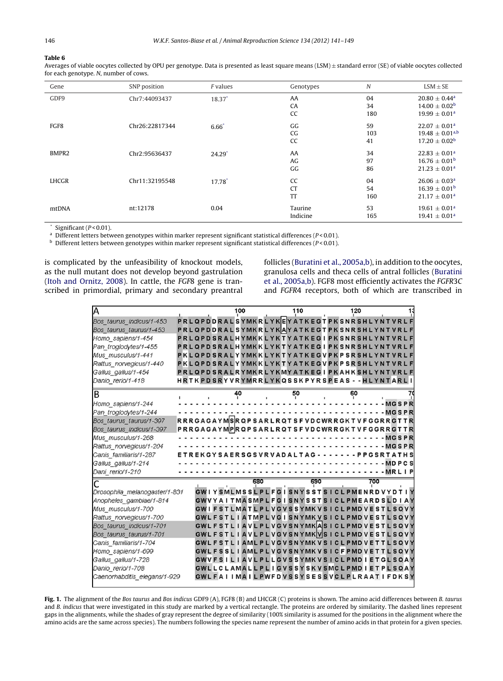# <span id="page-5-0"></span>**Table 6**

Averages of viable oocytes collected by OPU per genotype. Data is presented as least square means (LSM) ± standard error (SE) of viable oocytes collected for each genotype. N, number of cows.

| Gene  | SNP position   | <i>F</i> values | Genotypes | N   | $LSM \pm SE$                  |
|-------|----------------|-----------------|-----------|-----|-------------------------------|
| GDF9  | Chr7:44093437  | 18.37*          | AA        | 04  | $20.80 \pm 0.44^a$            |
|       |                |                 | CA        | 34  | $14.00 \pm 0.02^b$            |
|       |                |                 | CC        | 180 | $19.99 \pm 0.01^a$            |
| FGF8  | Chr26:22817344 | $6.66*$         | GG        | 59  | $22.07 \pm 0.01$ <sup>a</sup> |
|       |                |                 | CG        | 103 | $19.48 \pm 0.01^{a,b}$        |
|       |                |                 | CC        | 41  | $17.20 \pm 0.02^{\rm b}$      |
| BMPR2 | Chr2:95636437  | $24.29^*$       | AA        | 34  | $22.83 \pm 0.01^a$            |
|       |                |                 | AG        | 97  | $16.76 \pm 0.01^{\rm b}$      |
|       |                |                 | GG        | 86  | $21.23 \pm 0.01^a$            |
| LHCGR | Chr11:32195548 | 17.78*          | CC        | 04  | $26.06 \pm 0.03$ <sup>a</sup> |
|       |                |                 | <b>CT</b> | 54  | $16.39 \pm 0.01^{\rm b}$      |
|       |                |                 | TT        | 160 | $21.17 \pm 0.01^a$            |
| mtDNA | nt:12178       | 0.04            | Taurine   | 53  | $19.61 \pm 0.01^a$            |
|       |                |                 | Indicine  | 165 | $19.41 \pm 0.01^a$            |

 $*$  Significant ( $P < 0.01$ ).

<sup>a</sup> Different letters between genotypes within marker represent significant statistical differences (P < 0.01).

 $b$  Different letters between genotypes within marker represent significant statistical differences ( $P$  < 0.01).

is complicated by the unfeasibility of knockout models, as the null mutant does not develop beyond gastrulation [\(Itoh](#page-7-0) [and](#page-7-0) [Ornitz,](#page-7-0) [2008\).](#page-7-0) In cattle, the FGF8 gene is transcribed in primordial, primary and secondary preantral

follicles [\(Buratini](#page-7-0) et [al.,](#page-7-0) [2005a,b\),](#page-7-0) in addition to the oocytes, granulosa cells and theca cells of antral follicles ([Buratini](#page-7-0) et [al.,](#page-7-0) [2005a,b\).](#page-7-0) FGF8 most efficiently activates the FGFR3C and FGFR4 receptors, both of which are transcribed in

| A                             |                                                   |  |  |    | 100 |     |  |  | 110 |     |  |  | 120 |  |     |  |                                                                           |
|-------------------------------|---------------------------------------------------|--|--|----|-----|-----|--|--|-----|-----|--|--|-----|--|-----|--|---------------------------------------------------------------------------|
| Bos taurus indicus/1-453      | PRLOPDDRALSYMKRLYKEYATKEGTPKSNRSHLYNTVRLF         |  |  |    |     |     |  |  |     |     |  |  |     |  |     |  |                                                                           |
| Bos taurus taurus/1-453       | PRL QPDDRAL SYMKRLYKAYATKEGTPK SNR SHLYNTVRLF     |  |  |    |     |     |  |  |     |     |  |  |     |  |     |  |                                                                           |
| Homo sapiens/1-454            | PRLQPDSRALHYMKKLYKTYATKEGIPKSNRSHLYNTVRLF         |  |  |    |     |     |  |  |     |     |  |  |     |  |     |  |                                                                           |
| Pan troglodytes/1-455         | PRLQPDSRALHYMKKLYKTYATKEGIPKSNRSHLYNTVRLF         |  |  |    |     |     |  |  |     |     |  |  |     |  |     |  |                                                                           |
| Mus musculus/1-441            | PKLQPDSRALYYMKKLYKTYATKEGVPKPSRSHLYNTVRLF         |  |  |    |     |     |  |  |     |     |  |  |     |  |     |  |                                                                           |
| Rattus norvegicus/1-440       | PKLQPDSRALYYMKKLYKTYATKEGVPKPSRSHLYNTVRLF         |  |  |    |     |     |  |  |     |     |  |  |     |  |     |  |                                                                           |
| Gallus gallus/1-454           | PRLQPDSRALRYMKRLYKMYATKEGIPKAHKSHLYNTVRLF         |  |  |    |     |     |  |  |     |     |  |  |     |  |     |  |                                                                           |
| Danio rerio/1-418             | HRTKPDSRYVRYMRRLYKQSSKPYRSPEAS - -HLYNTARLI       |  |  |    |     |     |  |  |     |     |  |  |     |  |     |  |                                                                           |
| B                             |                                                   |  |  | 40 |     |     |  |  | 50  |     |  |  | 60  |  |     |  |                                                                           |
| Homo sapiens/1-244            |                                                   |  |  |    |     |     |  |  |     |     |  |  |     |  |     |  | $-MGSPR$                                                                  |
| Pan troglodytes/1-244         |                                                   |  |  |    |     |     |  |  |     |     |  |  |     |  |     |  | <b>MGSPR</b>                                                              |
| Bos taurus taurus/1-397       | RRRGAGAYMSRQPSARLRQTSFVDCWRRGKTVFGGRRGTTR         |  |  |    |     |     |  |  |     |     |  |  |     |  |     |  |                                                                           |
| Bos taurus indicus/1-397      | PRRGAGAYMPRQPSARLRQTSFVDCWRRGKTVFGGRRGTTR         |  |  |    |     |     |  |  |     |     |  |  |     |  |     |  |                                                                           |
| Mus musculus/1-268            |                                                   |  |  |    |     |     |  |  |     |     |  |  |     |  |     |  | <b>MGSPR</b>                                                              |
| Rattus norvegicus/1-204       |                                                   |  |  |    |     |     |  |  |     |     |  |  |     |  |     |  | <b>MGSPR</b>                                                              |
| Canis familiaris/1-287        | ETREKGYSAERSGSVRVADALTAG - - - - - - - PPGSRTATHS |  |  |    |     |     |  |  |     |     |  |  |     |  |     |  |                                                                           |
| Gallus gallus/1-214           |                                                   |  |  |    |     |     |  |  |     |     |  |  |     |  |     |  | <b>MDPCS</b>                                                              |
| Dani_rerio/1-210              |                                                   |  |  |    |     |     |  |  |     |     |  |  |     |  |     |  | MRLIP                                                                     |
|                               |                                                   |  |  |    |     | 680 |  |  |     | 690 |  |  |     |  | 700 |  |                                                                           |
| Drosophila melanogaster/1-831 |                                                   |  |  |    |     |     |  |  |     |     |  |  |     |  |     |  | GWIYSMLMSSLPLFGISNYSSTSICLPMENRDVYDTIY                                    |
| Anopheles gambiae/1-814       |                                                   |  |  |    |     |     |  |  |     |     |  |  |     |  |     |  | GWVYAITMASMPLFGISNYSSTSICLPMEARDSLDIAY                                    |
| Mus musculus/1-700            |                                                   |  |  |    |     |     |  |  |     |     |  |  |     |  |     |  | GWIFSTLMATLPLVGVSSYMKVSICLPMDVESTLSQVY                                    |
| Rattus norvegicus/1-700       |                                                   |  |  |    |     |     |  |  |     |     |  |  |     |  |     |  | GWL F S T L I A T M P L V G I S N Y M K V S I C L P M D V E S T L S Q V Y |
| Bos taurus indicus/1-701      |                                                   |  |  |    |     |     |  |  |     |     |  |  |     |  |     |  | GWLFSTLIAVLPLVGVSNYMKASICLPMDVESTLSQVY                                    |
| Bos taurus taurus/1-701       |                                                   |  |  |    |     |     |  |  |     |     |  |  |     |  |     |  | GWLFSTLIAVLPLVGVSNYMKWSICLPMDVESTLSQVY                                    |
| Canis familiaris/1-704        |                                                   |  |  |    |     |     |  |  |     |     |  |  |     |  |     |  | GWLFSTLIAMLPLVGVSNYMKVSICLPMDVETTLSQVY                                    |
| Homo sapiens/1-699            |                                                   |  |  |    |     |     |  |  |     |     |  |  |     |  |     |  | GWLFSSLIAMLPLVGVSNYMKVSICFPMDVETTLSQVY                                    |
| Gallus gallus/1-728           |                                                   |  |  |    |     |     |  |  |     |     |  |  |     |  |     |  | GWVFSILIAVLPLLGVSSYMKVSICLPMDIETGLSQAY                                    |
| Danio rerio/1-708             |                                                   |  |  |    |     |     |  |  |     |     |  |  |     |  |     |  | GWLLCLAMALLPLIGVSSYSKVSMCLPMDIETPLSQAY                                    |
| Caenorhabditis elegans/1-929  |                                                   |  |  |    |     |     |  |  |     |     |  |  |     |  |     |  | GWLFAIIMAILPWFDVSSYSESSVCLPLRAATIFDKSY                                    |

**Fig. 1.** The alignment of the Bos taurus and Bos indicus GDF9 (A), FGF8 (B) and LHCGR (C) proteins is shown. The amino acid differences between B. taurus and B. indicus that were investigated in this study are marked by a vertical rectangle. The proteins are ordered by similarity. The dashed lines represent gaps in the alignments, while the shades of gray represent the degree of similarity (100% similarity is assumed for the positions in the alignment where the amino acids are the same across species). The numbers following the species name represent the number of amino acids in that protein for a given species.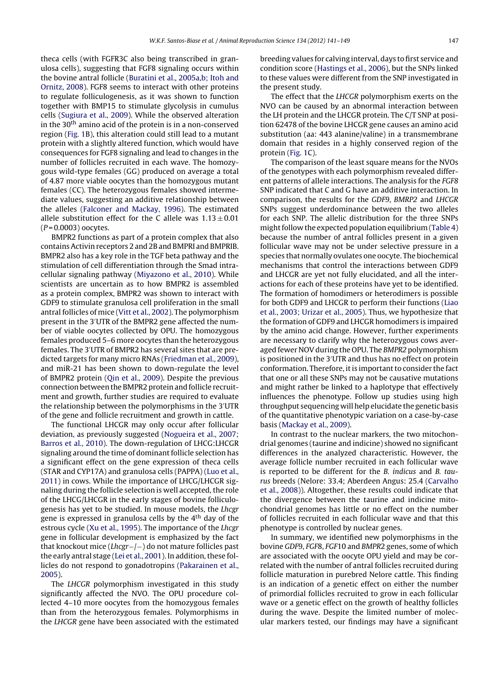theca cells (with FGFR3C also being transcribed in granulosa cells), suggesting that FGF8 signaling occurs within the bovine antral follicle [\(Buratini](#page-7-0) et [al.,](#page-7-0) [2005a,b;](#page-7-0) [Itoh](#page-7-0) [and](#page-7-0) [Ornitz,](#page-7-0) [2008\).](#page-7-0) FGF8 seems to interact with other proteins to regulate folliculogenesis, as it was shown to function together with BMP15 to stimulate glycolysis in cumulus cells ([Sugiura](#page-8-0) et [al.,](#page-8-0) [2009\).](#page-8-0) While the observed alteration in the  $30<sup>th</sup>$  amino acid of the protein is in a non-conserved region ([Fig.](#page-5-0) 1B), this alteration could still lead to a mutant protein with a slightly altered function, which would have consequences for FGF8 signaling and lead to changes in the number of follicles recruited in each wave. The homozygous wild-type females (GG) produced on average a total of 4.87 more viable oocytes than the homozygous mutant females (CC). The heterozygous females showed intermediate values, suggesting an additive relationship between the alleles [\(Falconer](#page-7-0) [and](#page-7-0) [Mackay,](#page-7-0) [1996\).](#page-7-0) The estimated allele substitution effect for the C allele was  $1.13 \pm 0.01$  $(P = 0.0003)$  oocytes.

BMPR2 functions as part of a protein complex that also containsActivin receptors 2 and 2B and BMPRI and BMPRIB. BMPR2 also has a key role in the TGF beta pathway and the stimulation of cell differentiation through the Smad intracellular signaling pathway [\(Miyazono](#page-7-0) et [al.,](#page-7-0) [2010\).](#page-7-0) While scientists are uncertain as to how BMPR2 is assembled as a protein complex, BMPR2 was shown to interact with GDF9 to stimulate granulosa cell proliferation in the small antral follicles of mice ([Vitt](#page-8-0) et [al.,](#page-8-0) [2002\).](#page-8-0) The polymorphism present in the 3 UTR of the BMPR2 gene affected the number of viable oocytes collected by OPU. The homozygous females produced 5–6 more oocytes than the heterozygous females. The 3 UTR of BMPR2 has several sites that are predicted targets for many micro RNAs ([Friedman](#page-7-0) et [al.,](#page-7-0) [2009\),](#page-7-0) and miR-21 has been shown to down-regulate the level of BMPR2 protein [\(Qin](#page-8-0) et [al.,](#page-8-0) [2009\).](#page-8-0) Despite the previous connection between the BMPR2 protein and follicle recruitment and growth, further studies are required to evaluate the relationship between the polymorphisms in the 3 UTR of the gene and follicle recruitment and growth in cattle.

The functional LHCGR may only occur after follicular deviation, as previously suggested ([Nogueira](#page-7-0) et [al.,](#page-7-0) [2007;](#page-7-0) [Barros](#page-7-0) et [al.,](#page-7-0) [2010\).](#page-7-0) The down-regulation of LHCG:LHCGR signaling around the time of dominant follicle selection has a significant effect on the gene expression of theca cells (STAR and CYP17A) and granulosa cells (PAPPA) [\(Luo](#page-7-0) et [al.,](#page-7-0) [2011\)](#page-7-0) in cows. While the importance of LHCG/LHCGR signaling during the follicle selection is well accepted, the role of the LHCG/LHCGR in the early stages of bovine folliculogenesis has yet to be studied. In mouse models, the Lhcgr gene is expressed in granulosa cells by the 4<sup>th</sup> day of the estrous cycle [\(Xu](#page-8-0) et [al.,](#page-8-0) [1995\).](#page-8-0) The importance of the Lhcgr gene in follicular development is emphasized by the fact that knockout mice (Lhcgr−/−) do not mature follicles past the early antral stage ([Lei](#page-7-0) et [al.,](#page-7-0) [2001\).](#page-7-0) In addition, these follicles do not respond to gonadotropins [\(Pakarainen](#page-7-0) et [al.,](#page-7-0) [2005\).](#page-7-0)

The LHCGR polymorphism investigated in this study significantly affected the NVO. The OPU procedure collected 4–10 more oocytes from the homozygous females than from the heterozygous females. Polymorphisms in the LHCGR gene have been associated with the estimated breeding values for calving interval, days to first service and condition score ([Hastings](#page-7-0) et [al.,](#page-7-0) [2006\),](#page-7-0) but the SNPs linked to these values were different from the SNP investigated in the present study.

The effect that the LHCGR polymorphism exerts on the NVO can be caused by an abnormal interaction between the LH protein and the LHCGR protein. The C/T SNP at position 62478 of the bovine LHCGR gene causes an amino acid substitution (aa: 443 alanine/valine) in a transmembrane domain that resides in a highly conserved region of the protein [\(Fig.](#page-5-0) 1C).

The comparison of the least square means for the NVOs of the genotypes with each polymorphism revealed different patterns of allele interactions. The analysis for the FGF8 SNP indicated that C and G have an additive interaction. In comparison, the results for the GDF9, BMRP2 and LHCGR SNPs suggest underdominance between the two alleles for each SNP. The allelic distribution for the three SNPs might follow the expected population equilibrium ([Table](#page-4-0) 4) because the number of antral follicles present in a given follicular wave may not be under selective pressure in a species that normally ovulates one oocyte. The biochemical mechanisms that control the interactions between GDF9 and LHCGR are yet not fully elucidated, and all the interactions for each of these proteins have yet to be identified. The formation of homodimers or heterodimers is possible for both GDF9 and LHCGR to perform their functions ([Liao](#page-7-0) et [al.,](#page-7-0) [2003;](#page-7-0) [Urizar](#page-7-0) et [al.,](#page-7-0) [2005\).](#page-7-0) Thus, we hypothesize that the formation of GDF9 and LHCGR homodimers is impaired by the amino acid change. However, further experiments are necessary to clarify why the heterozygous cows averaged fewer NOV during the OPU. The BMPR2 polymorphism is positioned in the 3 UTR and thus has no effect on protein conformation. Therefore, it is important to consider the fact that one or all these SNPs may not be causative mutations and might rather be linked to a haplotype that effectively influences the phenotype. Follow up studies using high throughput sequencing will help elucidate the genetic basis of the quantitative phenotypic variation on a case-by-case basis [\(Mackay](#page-7-0) et [al.,](#page-7-0) [2009\).](#page-7-0)

In contrast to the nuclear markers, the two mitochondrial genomes (taurine and indicine) showed no significant differences in the analyzed characteristic. However, the average follicle number recruited in each follicular wave is reported to be different for the B. indicus and B. taurus breeds (Nelore: 33.4; Aberdeen Angus: 25.4 ([Carvalho](#page-7-0) et [al.,](#page-7-0) [2008\)\)](#page-7-0). Altogether, these results could indicate that the divergence between the taurine and indicine mitochondrial genomes has little or no effect on the number of follicles recruited in each follicular wave and that this phenotype is controlled by nuclear genes.

In summary, we identified new polymorphisms in the bovine GDF9, FGF8, FGF10 and BMPR2 genes, some of which are associated with the oocyte OPU yield and may be correlated with the number of antral follicles recruited during follicle maturation in purebred Nelore cattle. This finding is an indication of a genetic effect on either the number of primordial follicles recruited to grow in each follicular wave or a genetic effect on the growth of healthy follicles during the wave. Despite the limited number of molecular markers tested, our findings may have a significant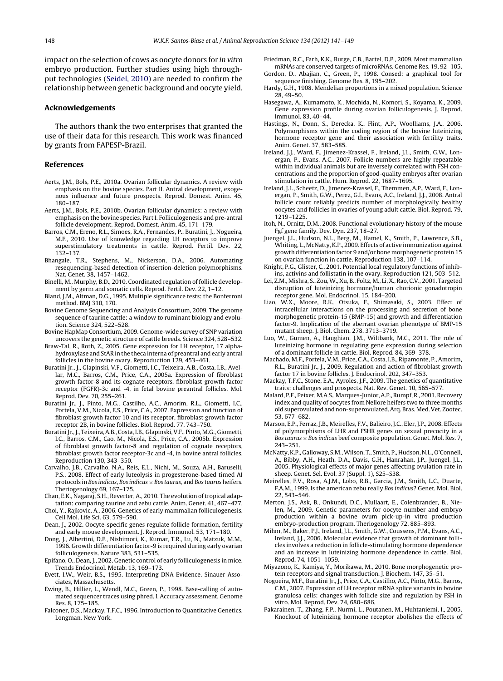<span id="page-7-0"></span>impact on the selection of cows as oocyte donors for in vitro embryo production. Further studies using high throughput technologies ([Seidel,](#page-8-0) [2010\)](#page-8-0) are needed to confirm the relationship between genetic background and oocyte yield.

## **Acknowledgements**

The authors thank the two enterprises that granted the use of their data for this research. This work was financed by grants from FAPESP-Brazil.

## **References**

- Aerts, J.M., Bols, P.E., 2010a. Ovarian follicular dynamics. A review with emphasis on the bovine species. Part II. Antral development, exogenous influence and future prospects. Reprod. Domest. Anim. 45, 180–187.
- Aerts, J.M., Bols, P.E., 2010b. Ovarian follicular dynamics: a review with emphasis on the bovine species. Part I. Folliculogenesis and pre-antral follicle development. Reprod. Domest. Anim. 45, 171–179.
- Barros, C.M., Ereno, R.L., Simoes, R.A., Fernandes, P., Buratini, J., Nogueira, M.F., 2010. Use of knowledge regarding LH receptors to improve superstimulatory treatments in cattle. Reprod. Fertil. Dev. 22, 132–137.
- Bhangale, T.R., Stephens, M., Nickerson, D.A., 2006. Automating resequencing-based detection of insertion-deletion polymorphisms. Nat. Genet. 38, 1457–1462.
- Binelli, M., Murphy, B.D., 2010. Coordinated regulation of follicle development by germ and somatic cells. Reprod. Fertil. Dev. 22, 1–12.
- Bland, J.M., Altman, D.G., 1995. Multiple significance tests: the Bonferroni method. BMJ 310, 170.
- Bovine Genome Sequencing and Analysis Consortium, 2009. The genome sequence of taurine cattle: a window to ruminant biology and evolution. Science 324, 522–528.
- Bovine HapMap Consortium, 2009. Genome-wide survey of SNP variation uncovers the genetic structure of cattle breeds. Science 324, 528–532.
- Braw-Tal, R., Roth, Z., 2005. Gene expression for LH receptor, 17 alphahydroxylase and StAR in the theca interna of preantral and early antral follicles in the bovine ovary. Reproduction 129, 453–461.
- Buratini Jr., J., Glapinski, V.F., Giometti, I.C., Teixeira, A.B., Costa, I.B., Avellar, M.C., Barros, C.M., Price, C.A., 2005a. Expression of fibroblast growth factor-8 and its cognate receptors, fibroblast growth factor receptor (FGFR)-3c and -4, in fetal bovine preantral follicles. Mol. Reprod. Dev. 70, 255–261.
- Buratini Jr., J., Pinto, M.G., Castilho, A.C., Amorim, R.L., Giometti, I.C., Portela, V.M., Nicola, E.S., Price, C.A., 2007. Expression and function of fibroblast growth factor 10 and its receptor, fibroblast growth factor receptor 2B, in bovine follicles. Biol. Reprod. 77, 743–750.
- Buratini Jr., J., Teixeira, A.B., Costa, I.B., Glapinski, V.F., Pinto, M.G., Giometti, I.C., Barros, C.M., Cao, M., Nicola, E.S., Price, C.A., 2005b. Expression of fibroblast growth factor-8 and regulation of cognate receptors, fibroblast growth factor receptor-3c and -4, in bovine antral follicles. Reproduction 130, 343–350.
- Carvalho, J.B., Carvalho, N.A., Reis, E.L., Nichi, M., Souza, A.H., Baruselli, P.S., 2008. Effect of early luteolysis in progesterone-based timed AI protocols in Bos indicus, Bos indicus  $\times$  Bos taurus, and Bos taurus heifers. Theriogenology 69, 167–175.
- Chan, E.K., Nagaraj, S.H., Reverter, A., 2010. The evolution of tropical adaptation: comparing taurine and zebu cattle. Anim. Genet. 41, 467–477.
- Choi, Y., Rajkovic, A., 2006. Genetics of early mammalian folliculogenesis. Cell Mol. Life Sci. 63, 579–590.
- Dean, J., 2002. Oocyte-specific genes regulate follicle formation, fertility and early mouse development. J. Reprod. Immunol. 53, 171–180.
- Dong, J., Albertini, D.F., Nishimori, K., Kumar, T.R., Lu, N., Matzuk, M.M., 1996. Growth differentiation factor-9 is required during early ovarian folliculogenesis. Nature 383, 531–535.
- Epifano, O., Dean, J., 2002. Genetic control of early folliculogenesis in mice. Trends Endocrinol. Metab. 13, 169–173.
- Evett, I.W., Weir, B.S., 1995. Interpreting DNA Evidence. Sinauer Associates, Massachusetts.
- Ewing, B., Hillier, L., Wendl, M.C., Green, P., 1998. Base-calling of automated sequencer traces using phred. I. Accuracy assessment. Genome Res. 8, 175–185.
- Falconer, D.S., Mackay, T.F.C., 1996. Introduction to Quantitative Genetics. Longman, New York.
- Friedman, R.C., Farh, K.K., Burge, C.B., Bartel, D.P., 2009. Most mammalian mRNAs are conserved targets of microRNAs. Genome Res. 19, 92–105.
- Gordon, D., Abajian, C., Green, P., 1998. Consed: a graphical tool for sequence finishing. Genome Res. 8, 195–202.
- Hardy, G.H., 1908. Mendelian proportions in a mixed population. Science 28, 49–50.
- Hasegawa, A., Kumamoto, K., Mochida, N., Komori, S., Koyama, K., 2009. Gene expression profile during ovarian folliculogenesis. J. Reprod. Immunol. 83, 40–44.
- Hastings, N., Donn, S., Derecka, K., Flint, A.P., Woolliams, J.A., 2006. Polymorphisms within the coding region of the bovine luteinizing hormone receptor gene and their association with fertility traits. Anim. Genet. 37, 583–585.
- Ireland, J.J., Ward, F., Jimenez-Krassel, F., Ireland, J.L., Smith, G.W., Lonergan, P., Evans, A.C., 2007. Follicle numbers are highly repeatable within individual animals but are inversely correlated with FSH concentrations and the proportion of good-quality embryos after ovarian stimulation in cattle. Hum. Reprod. 22, 1687–1695.
- Ireland, J.L., Scheetz, D., Jimenez-Krassel, F., Themmen, A.P., Ward, F., Lonergan, P., Smith, G.W., Perez, G.I., Evans, A.C., Ireland, J.J., 2008. Antral follicle count reliably predicts number of morphologically healthy oocytes and follicles in ovaries of young adult cattle. Biol. Reprod. 79, 1219–1225.
- Itoh, N., Ornitz, D.M., 2008. Functional evolutionary history of the mouse Fgf gene family. Dev. Dyn. 237, 18–27.
- Juengel, J.L., Hudson, N.L., Berg, M., Hamel, K., Smith, P., Lawrence, S.B., Whiting, L., McNatty, K.P., 2009. Effects of active immunization against growth differentiation factor 9 and/or bone morphogenetic protein 15 on ovarian function in cattle. Reproduction 138, 107–114.
- Knight, P.G., Glister, C., 2001. Potential local regulatory functions of inhibins, activins and follistatin in the ovary. Reproduction 121, 503–512.
- Lei, Z.M., Mishra, S., Zou,W., Xu, B., Foltz, M., Li, X., Rao, C.V., 2001. Targeted disruption of luteinizing hormone/human chorionic gonadotropin receptor gene. Mol. Endocrinol. 15, 184–200.
- Liao, W.X., Moore, R.K., Otsuka, F., Shimasaki, S., 2003. Effect of intracellular interactions on the processing and secretion of bone morphogenetic protein-15 (BMP-15) and growth and differentiation factor-9. Implication of the aberrant ovarian phenotype of BMP-15 mutant sheep. J. Biol. Chem. 278, 3713–3719.
- Luo, W., Gumen, A., Haughian, J.M., Wiltbank, M.C., 2011. The role of luteinizing hormone in regulating gene expression during selection of a dominant follicle in cattle. Biol. Reprod. 84, 369–378.
- Machado, M.F., Portela, V.M., Price, C.A., Costa, I.B., Ripamonte, P., Amorim, R.L., Buratini Jr., J., 2009. Regulation and action of fibroblast growth factor 17 in bovine follicles. J. Endocrinol. 202, 347–353.
- Mackay, T.F.C., Stone, E.A., Ayroles, J.F., 2009. The genetics of quantitative traits: challenges and prospects. Nat. Rev. Genet. 10, 565–577.
- Malard, P.F., Peixer, M.A.S., Marques-Junior, A.P., Rumpf, R., 2001. Recovery index and quality of oocytes from Nellore heifers two to three months old superovulated and non-superovulated.Arq. Bras.Med.Vet. Zootec. 53, 677–682.
- Marson, E.P., Ferraz, J.B., Meirelles, F.V., Balieiro, J.C., Eler, J.P., 2008. Effects of polymorphisms of LHR and FSHR genes on sexual precocity in a Bos taurus  $\times$  Bos indicus beef composite population. Genet. Mol. Res. 7, 243–251.
- McNatty,K.P., Galloway, S.M.,Wilson, T., Smith, P., Hudson, N.L., O'Connell, A., Bibby, A.H., Heath, D.A., Davis, G.H., Hanrahan, J.P., Juengel, J.L., 2005. Physiological effects of major genes affecting ovulation rate in sheep. Genet. Sel. Evol. 37 (Suppl. 1), S25–S38.
- Meirelles, F.V., Rosa, A.J.M., Lobo, R.B., Garcia, J.M., Smith, L.C., Duarte, F.A.M., 1999. Is the american zebu really Bos indicus? Genet. Mol. Biol. 22, 543–546.
- Merton, J.S., Ask, B., Onkundi, D.C., Mullaart, E., Colenbrander, B., Nielen, M., 2009. Genetic parameters for oocyte number and embryo production within a bovine ovum pick-up-in vitro production embryo-production program. Theriogenology 72, 885–893.
- Mihm, M., Baker, P.J., Ireland, J.L., Smith, G.W., Coussens, P.M., Evans, A.C., Ireland, J.J., 2006. Molecular evidence that growth of dominant follicles involves a reduction in follicle-stimulating hormone dependence and an increase in luteinizing hormone dependence in cattle. Biol. Reprod. 74, 1051–1059.
- Miyazono, K., Kamiya, Y., Morikawa, M., 2010. Bone morphogenetic protein receptors and signal transduction. J. Biochem. 147, 35–51.
- Nogueira, M.F., Buratini Jr., J., Price, C.A., Castilho, A.C., Pinto, M.G., Barros, C.M., 2007. Expression of LH receptor mRNA splice variants in bovine granulosa cells: changes with follicle size and regulation by FSH in vitro. Mol. Reprod. Dev. 74, 680–686.
- Pakarainen, T., Zhang, F.P., Nurmi, L., Poutanen, M., Huhtaniemi, I., 2005. Knockout of luteinizing hormone receptor abolishes the effects of